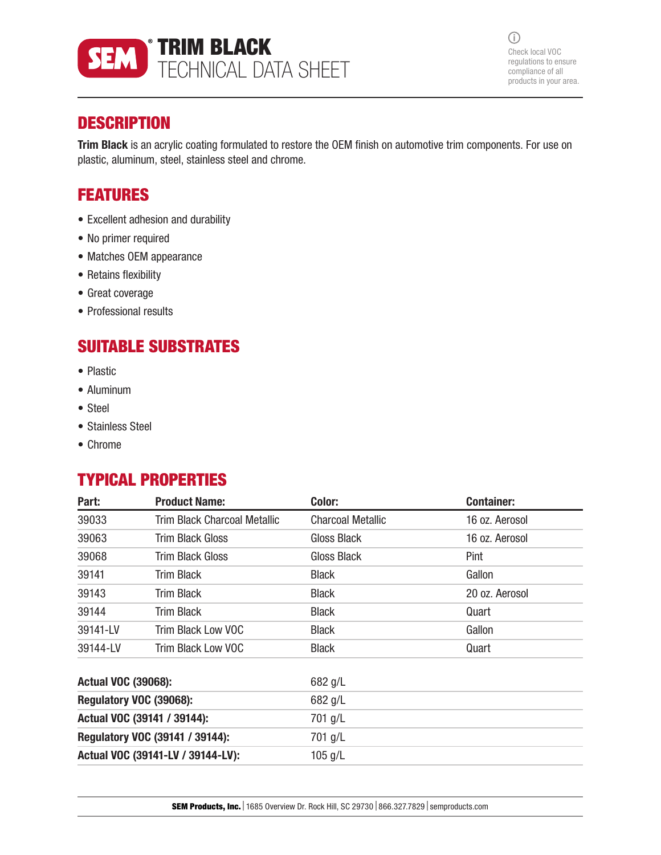

 $\odot$ Check local VOC regulations to ensure compliance of all products in your area.

## **DESCRIPTION**

Trim Black is an acrylic coating formulated to restore the OEM finish on automotive trim components. For use on plastic, aluminum, steel, stainless steel and chrome.

## FEATURES

- Excellent adhesion and durability
- No primer required
- Matches OEM appearance
- Retains flexibility
- Great coverage
- Professional results

# SUITABLE SUBSTRATES

- Plastic
- Aluminum
- Steel
- Stainless Steel
- Chrome

## TYPICAL PROPERTIES

| Part:                             | <b>Product Name:</b>         | Color:                   | <b>Container:</b> |
|-----------------------------------|------------------------------|--------------------------|-------------------|
| 39033                             | Trim Black Charcoal Metallic | <b>Charcoal Metallic</b> | 16 oz. Aerosol    |
| 39063                             | Trim Black Gloss             | Gloss Black              | 16 oz. Aerosol    |
| 39068                             | Trim Black Gloss             | Gloss Black              | Pint              |
| 39141                             | Trim Black                   | <b>Black</b>             | Gallon            |
| 39143                             | Trim Black                   | <b>Black</b>             | 20 oz. Aerosol    |
| 39144                             | Trim Black                   | <b>Black</b>             | Quart             |
| 39141-LV                          | Trim Black Low VOC           | <b>Black</b>             | Gallon            |
| 39144-LV                          | Trim Black Low VOC           | <b>Black</b>             | Quart             |
| <b>Actual VOC (39068):</b>        |                              | 682 g/L                  |                   |
| Regulatory VOC (39068):           |                              | 682 g/L                  |                   |
| Actual VOC (39141 / 39144):       |                              | 701 g/L                  |                   |
| Regulatory VOC (39141 / 39144):   |                              | 701 g/L                  |                   |
| Actual VOC (39141-LV / 39144-LV): |                              | $105$ g/L                |                   |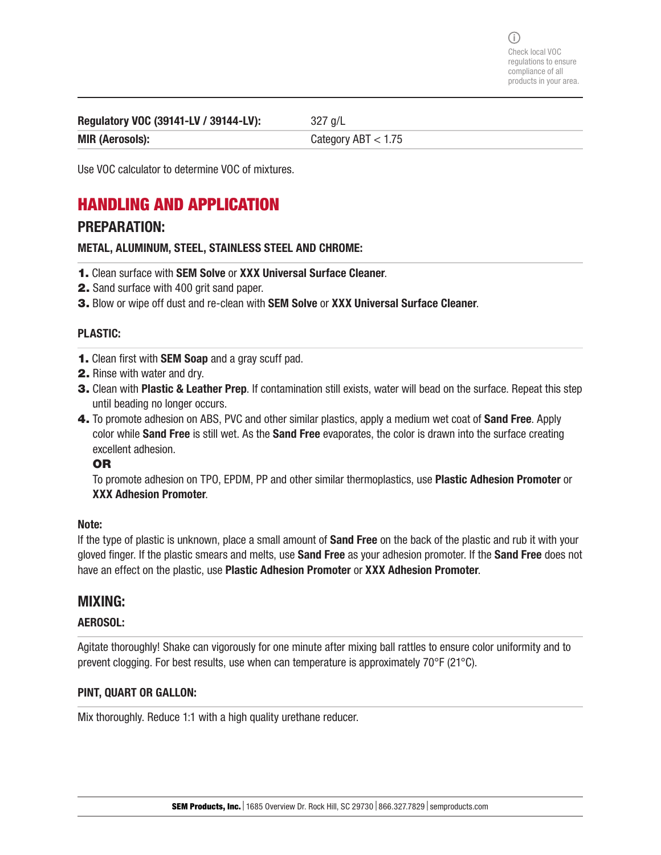Regulatory VOC (39141-LV / 39144-LV): 327 g/L

MIR (Aerosols): Category ABT < 1.75

Use VOC calculator to determine VOC of mixtures.

## HANDLING AND APPLICATION

### PREPARATION:

METAL, ALUMINUM, STEEL, STAINLESS STEEL AND CHROME:

- 1. Clean surface with SEM Solve or XXX Universal Surface Cleaner.
- 2. Sand surface with 400 grit sand paper.
- 3. Blow or wipe off dust and re-clean with SEM Solve or XXX Universal Surface Cleaner.

### PLASTIC:

- 1. Clean first with SEM Soap and a gray scuff pad.
- 2. Rinse with water and dry.
- 3. Clean with Plastic & Leather Prep. If contamination still exists, water will bead on the surface. Repeat this step until beading no longer occurs.
- 4. To promote adhesion on ABS, PVC and other similar plastics, apply a medium wet coat of **Sand Free**. Apply color while Sand Free is still wet. As the Sand Free evaporates, the color is drawn into the surface creating excellent adhesion.

### OR

To promote adhesion on TPO, EPDM, PP and other similar thermoplastics, use Plastic Adhesion Promoter or XXX Adhesion Promoter.

### Note:

If the type of plastic is unknown, place a small amount of **Sand Free** on the back of the plastic and rub it with your gloved finger. If the plastic smears and melts, use Sand Free as your adhesion promoter. If the Sand Free does not have an effect on the plastic, use Plastic Adhesion Promoter or XXX Adhesion Promoter.

### MIXING:

### AEROSOL:

Agitate thoroughly! Shake can vigorously for one minute after mixing ball rattles to ensure color uniformity and to prevent clogging. For best results, use when can temperature is approximately 70°F (21°C).

### PINT, QUART OR GALLON:

Mix thoroughly. Reduce 1:1 with a high quality urethane reducer.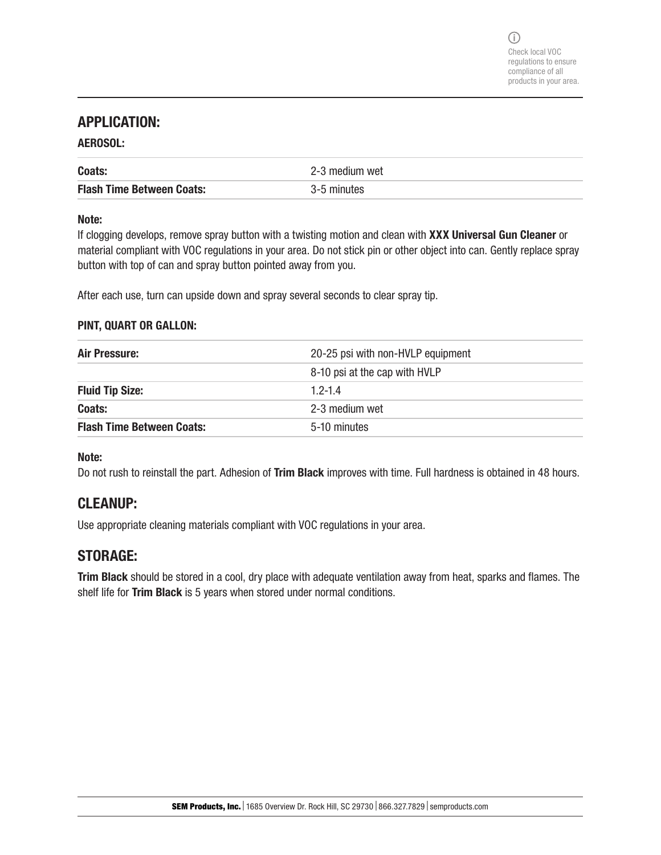### APPLICATION:

### AEROSOL:

| Coats:                           | 2-3 medium wet |
|----------------------------------|----------------|
| <b>Flash Time Between Coats:</b> | 3-5 minutes    |

### Note:

If clogging develops, remove spray button with a twisting motion and clean with XXX Universal Gun Cleaner or material compliant with VOC regulations in your area. Do not stick pin or other object into can. Gently replace spray button with top of can and spray button pointed away from you.

After each use, turn can upside down and spray several seconds to clear spray tip.

### PINT, QUART OR GALLON:

| Air Pressure:                    | 20-25 psi with non-HVLP equipment |
|----------------------------------|-----------------------------------|
|                                  | 8-10 psi at the cap with HVLP     |
| <b>Fluid Tip Size:</b>           | $1.2 - 1.4$                       |
| Coats:                           | 2-3 medium wet                    |
| <b>Flash Time Between Coats:</b> | 5-10 minutes                      |

### Note:

Do not rush to reinstall the part. Adhesion of Trim Black improves with time. Full hardness is obtained in 48 hours.

## CLEANUP:

Use appropriate cleaning materials compliant with VOC regulations in your area.

### STORAGE:

Trim Black should be stored in a cool, dry place with adequate ventilation away from heat, sparks and flames. The shelf life for Trim Black is 5 years when stored under normal conditions.